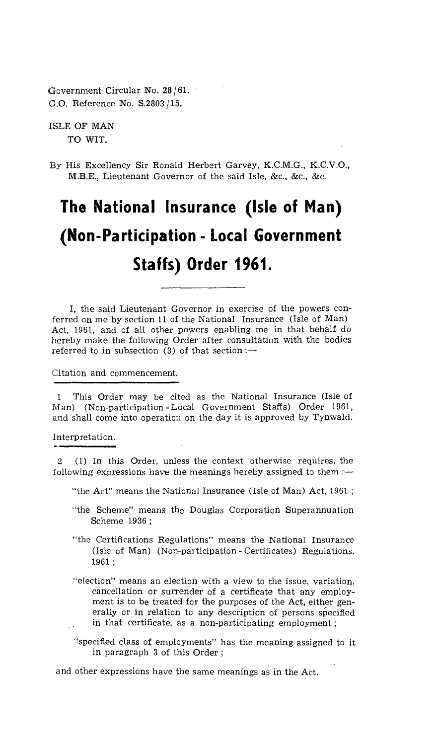Government Circular No. 28 /61. G.O. Reference No. S.2803 /15.

ISLE OF MAN TO WIT.

By His Excellency Sir Ronald Herbert Garvey, K.C.M.G., K.C.V.O., M.B.E., Lieutenant Governor of the said Isle, &c., &c., &c.

## **The National Insurance (Isle of Man) (Non-Participation - Local Government Staffs) Order 1961.**

I, the said Lieutenant Governor in exercise of the powers conferred on me by section 11 of the National Insurance (Isle of Man) Act, 1961, and of all other powers enabling me in that behalf do hereby make the following Order after consultation with the bodies referred to in subsection  $(3)$  of that section :-

Citation and commencement.

This Order may be cited as the National Insurance (Isle of Man) (Non-participation - Local Government Staffs) Order 1961, and shall come into operation on the day it is approved by Tynwald.

Interpretation.

2 (1) In this Order, unless the context otherwise requires, the following expressions have the meanings hereby assigned to them :—

"the Act" means the National Insurance (Isle of Man) Act, 1961;

- "the. Scheme" means the Douglas Corporation Superannuation Scheme 1936 ;
- "the Certifications Regulations" means the National Insurance (Isle of Man) (Non-participation - Certificates) Regulations, 1961 ;
- "election" means an election with a view to the issue, variation, cancellation or surrender of a certificate that any employment is to be treated for the purposes of the Act, either generally or in relation to any description of persons specified in that certificate, as a non-participating employment ;
- "specified class of employments" has the meaning assigned to it in paragraph 3 of this Order ;

and other expressions have the same meanings as in the Act.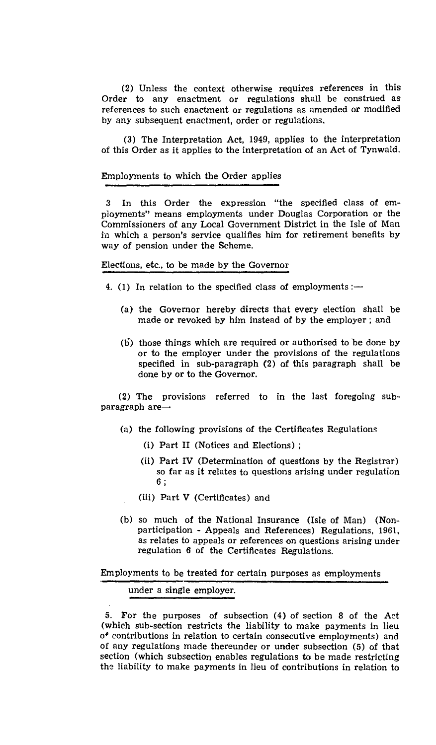(2) Unless the context otherwise requires references in this Order to any enactment or regulations shall be construed as references to such enactment or regulations as amended or modified by any subsequent enactment, order or regulations.

(3) The Interpretation Act, 1949, applies to the interpretation of this Order as it applies to the interpretation of an Act of Tynwald.

## Employments to which the Order applies

3 In this Order the expression "the specified class of employments" means employments under Douglas Corporation or the Commissioners of any Local Government District in the Isle of Man in which a person's service qualifies him for retirement benefits by way of pension under the Scheme.

## Elections, etc., to be made by the Governor

- 4. (1) In relation to the specified class of employments :-
	- (a) the Governor hereby directs that every election shall be made or revoked by him instead of by the employer ; and
	- (b.) those things which are required or authorised to be done by or to the employer under the provisions of the regulations specified in sub-paragraph (2) of this paragraph shall be done by or to the Governor.

(2) The provisions referred to in the last foregoing subparagraph are—

- (a) the following provisions of the Certificates Regulations
	- (i) Part II (Notices and Elections) ;
	- (ii) Part IV (Determination of questions by the Registrar) so far as it relates to questions arising under regulation 6 ,
	- (iii) Part V (Certificates) and
- (b) so much of the National Insurance (Isle of Man) (Nonparticipation - Appeals and References) Regulations, 1961, as relates to appeals or references on questions arising under regulation 6 of the Certificates Regulations.

Employments to be treated for certain purposes as employments

under a single employer.

5. For the purposes of subsection (4) of section 8 of the Act (which sub-section restricts the liability to make payments in lieu contributions in relation to certain consecutive employments) and of any regulations made thereunder or under subsection (5) of that section (which subsection enables regulations to be made restricting the liability to make payments in lieu of contributions in relation to